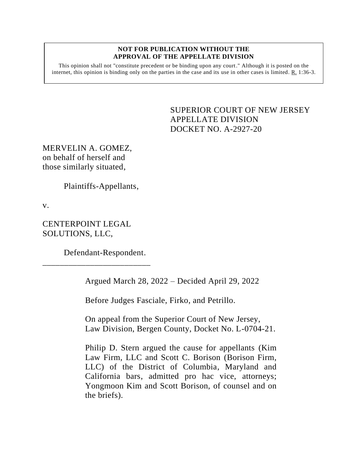### **NOT FOR PUBLICATION WITHOUT THE APPROVAL OF THE APPELLATE DIVISION**

This opinion shall not "constitute precedent or be binding upon any court." Although it is posted on the internet, this opinion is binding only on the parties in the case and its use in other cases is limited.  $R_1$  1:36-3.

> SUPERIOR COURT OF NEW JERSEY APPELLATE DIVISION DOCKET NO. A-2927-20

MERVELIN A. GOMEZ, on behalf of herself and those similarly situated,

Plaintiffs-Appellants,

v.

CENTERPOINT LEGAL SOLUTIONS, LLC,

Defendant-Respondent.

\_\_\_\_\_\_\_\_\_\_\_\_\_\_\_\_\_\_\_\_\_\_\_\_\_

Argued March 28, 2022 – Decided April 29, 2022

Before Judges Fasciale, Firko, and Petrillo.

On appeal from the Superior Court of New Jersey, Law Division, Bergen County, Docket No. L-0704-21.

Philip D. Stern argued the cause for appellants (Kim Law Firm, LLC and Scott C. Borison (Borison Firm, LLC) of the District of Columbia, Maryland and California bars, admitted pro hac vice, attorneys; Yongmoon Kim and Scott Borison, of counsel and on the briefs).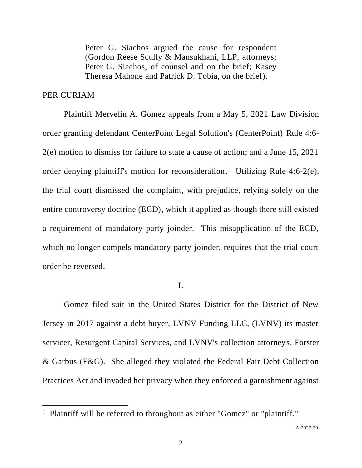Peter G. Siachos argued the cause for respondent (Gordon Reese Scully & Mansukhani, LLP, attorneys; Peter G. Siachos, of counsel and on the brief; Kasey Theresa Mahone and Patrick D. Tobia, on the brief).

## PER CURIAM

Plaintiff Mervelin A. Gomez appeals from a May 5, 2021 Law Division order granting defendant CenterPoint Legal Solution's (CenterPoint) Rule 4:6- 2(e) motion to dismiss for failure to state a cause of action; and a June 15, 2021 order denying plaintiff's motion for reconsideration.<sup>1</sup> Utilizing Rule 4:6-2(e), the trial court dismissed the complaint, with prejudice, relying solely on the entire controversy doctrine (ECD), which it applied as though there still existed a requirement of mandatory party joinder. This misapplication of the ECD, which no longer compels mandatory party joinder, requires that the trial court order be reversed.

I.

Gomez filed suit in the United States District for the District of New Jersey in 2017 against a debt buyer, LVNV Funding LLC, (LVNV) its master servicer, Resurgent Capital Services, and LVNV's collection attorneys, Forster & Garbus (F&G). She alleged they violated the Federal Fair Debt Collection Practices Act and invaded her privacy when they enforced a garnishment against

<sup>&</sup>lt;sup>1</sup> Plaintiff will be referred to throughout as either "Gomez" or "plaintiff."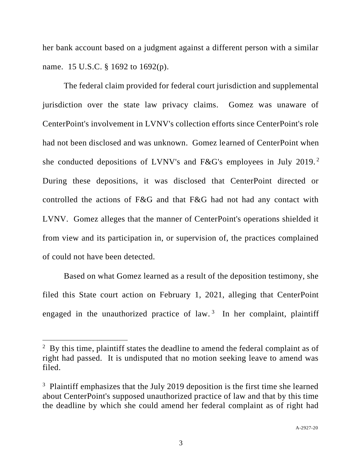her bank account based on a judgment against a different person with a similar name. 15 U.S.C. § 1692 to 1692(p).

The federal claim provided for federal court jurisdiction and supplemental jurisdiction over the state law privacy claims. Gomez was unaware of CenterPoint's involvement in LVNV's collection efforts since CenterPoint's role had not been disclosed and was unknown. Gomez learned of CenterPoint when she conducted depositions of LVNV's and F&G's employees in July 2019.<sup>2</sup> During these depositions, it was disclosed that CenterPoint directed or controlled the actions of F&G and that F&G had not had any contact with LVNV. Gomez alleges that the manner of CenterPoint's operations shielded it from view and its participation in, or supervision of, the practices complained of could not have been detected.

Based on what Gomez learned as a result of the deposition testimony, she filed this State court action on February 1, 2021, alleging that CenterPoint engaged in the unauthorized practice of law.<sup>3</sup> In her complaint, plaintiff

 $2$  By this time, plaintiff states the deadline to amend the federal complaint as of right had passed. It is undisputed that no motion seeking leave to amend was filed.

<sup>&</sup>lt;sup>3</sup> Plaintiff emphasizes that the July 2019 deposition is the first time she learned about CenterPoint's supposed unauthorized practice of law and that by this time the deadline by which she could amend her federal complaint as of right had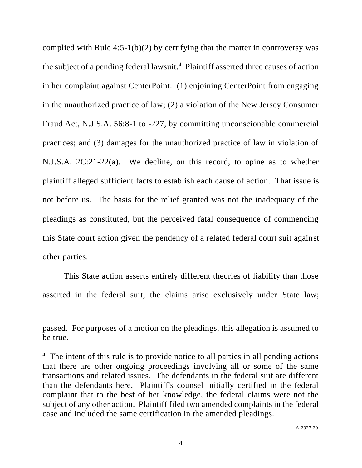complied with Rule  $4:5-1(b)(2)$  by certifying that the matter in controversy was the subject of a pending federal lawsuit.<sup>4</sup> Plaintiff asserted three causes of action in her complaint against CenterPoint: (1) enjoining CenterPoint from engaging in the unauthorized practice of law; (2) a violation of the New Jersey Consumer Fraud Act, N.J.S.A. 56:8-1 to -227, by committing unconscionable commercial practices; and (3) damages for the unauthorized practice of law in violation of N.J.S.A. 2C:21-22(a). We decline, on this record, to opine as to whether plaintiff alleged sufficient facts to establish each cause of action. That issue is not before us. The basis for the relief granted was not the inadequacy of the pleadings as constituted, but the perceived fatal consequence of commencing this State court action given the pendency of a related federal court suit against other parties.

This State action asserts entirely different theories of liability than those asserted in the federal suit; the claims arise exclusively under State law;

passed. For purposes of a motion on the pleadings, this allegation is assumed to be true.

<sup>&</sup>lt;sup>4</sup> The intent of this rule is to provide notice to all parties in all pending actions that there are other ongoing proceedings involving all or some of the same transactions and related issues. The defendants in the federal suit are different than the defendants here. Plaintiff's counsel initially certified in the federal complaint that to the best of her knowledge, the federal claims were not the subject of any other action. Plaintiff filed two amended complaints in the federal case and included the same certification in the amended pleadings.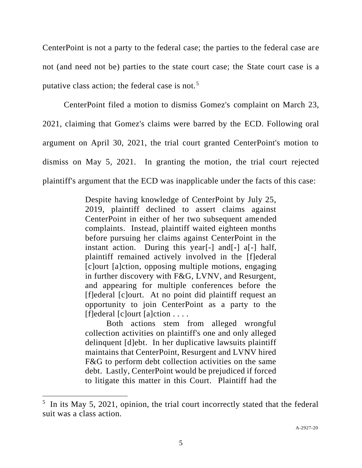CenterPoint is not a party to the federal case; the parties to the federal case are not (and need not be) parties to the state court case; the State court case is a putative class action; the federal case is not.<sup>5</sup>

CenterPoint filed a motion to dismiss Gomez's complaint on March 23, 2021, claiming that Gomez's claims were barred by the ECD. Following oral argument on April 30, 2021, the trial court granted CenterPoint's motion to dismiss on May 5, 2021. In granting the motion, the trial court rejected plaintiff's argument that the ECD was inapplicable under the facts of this case:

> Despite having knowledge of CenterPoint by July 25, 2019, plaintiff declined to assert claims against CenterPoint in either of her two subsequent amended complaints. Instead, plaintiff waited eighteen months before pursuing her claims against CenterPoint in the instant action. During this year[-] and[-] a[-] half, plaintiff remained actively involved in the [f]ederal [c]ourt [a]ction, opposing multiple motions, engaging in further discovery with F&G, LVNV, and Resurgent, and appearing for multiple conferences before the [f]ederal [c]ourt. At no point did plaintiff request an opportunity to join CenterPoint as a party to the  $[f]$ ederal  $[c]$ ourt  $[a]$ ction  $\dots$ .

> Both actions stem from alleged wrongful collection activities on plaintiff's one and only alleged delinquent [d]ebt. In her duplicative lawsuits plaintiff maintains that CenterPoint, Resurgent and LVNV hired F&G to perform debt collection activities on the same debt. Lastly, CenterPoint would be prejudiced if forced to litigate this matter in this Court. Plaintiff had the

<sup>&</sup>lt;sup>5</sup> In its May 5, 2021, opinion, the trial court incorrectly stated that the federal suit was a class action.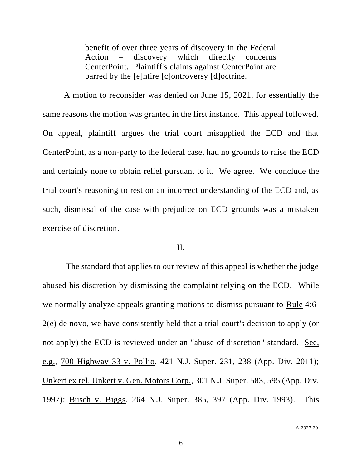benefit of over three years of discovery in the Federal Action – discovery which directly concerns CenterPoint. Plaintiff's claims against CenterPoint are barred by the [e]ntire [c]ontroversy [d]octrine.

A motion to reconsider was denied on June 15, 2021, for essentially the same reasons the motion was granted in the first instance. This appeal followed. On appeal, plaintiff argues the trial court misapplied the ECD and that CenterPoint, as a non-party to the federal case, had no grounds to raise the ECD and certainly none to obtain relief pursuant to it. We agree. We conclude the trial court's reasoning to rest on an incorrect understanding of the ECD and, as such, dismissal of the case with prejudice on ECD grounds was a mistaken exercise of discretion.

### II.

The standard that applies to our review of this appeal is whether the judge abused his discretion by dismissing the complaint relying on the ECD. While we normally analyze appeals granting motions to dismiss pursuant to Rule 4:6- 2(e) de novo, we have consistently held that a trial court's decision to apply (or not apply) the ECD is reviewed under an "abuse of discretion" standard. See, e.g.*,* 700 Highway 33 v. Pollio*,* 421 N.J. Super. 231, 238 (App. Div. 2011); Unkert ex rel. Unkert v. Gen. Motors Corp*.*, 301 N.J. Super. 583, 595 (App. Div. 1997); Busch v. Biggs, 264 N.J. Super. 385, 397 (App. Div. 1993). This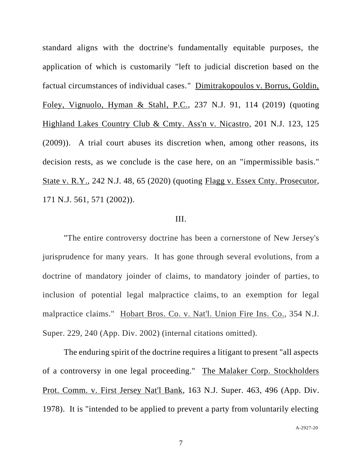standard aligns with the doctrine's fundamentally equitable purposes, the application of which is customarily "left to judicial discretion based on the factual circumstances of individual cases." Dimitrakopoulos v. Borrus, Goldin, Foley, Vignuolo, Hyman & Stahl, P.C., 237 N.J. 91, 114 (2019) (quoting Highland Lakes Country Club & Cmty. Ass'n v. Nicastro, 201 N.J. 123, 125 (2009)). A trial court abuses its discretion when, among other reasons, its decision rests, as we conclude is the case here, on an "impermissible basis." State v. R.Y., 242 N.J. 48, 65 (2020) (quoting Flagg v. Essex Cnty. Prosecutor, 171 N.J. 561, 571 (2002)).

### III.

"The entire controversy doctrine has been a cornerstone of New Jersey's jurisprudence for many years. It has gone through several evolutions, from a doctrine of mandatory joinder of claims, to mandatory joinder of parties, to inclusion of potential legal malpractice claims, to an exemption for legal malpractice claims." Hobart Bros. Co. v. Nat'l. Union Fire Ins. Co., 354 N.J. Super. 229, 240 (App. Div. 2002) (internal citations omitted).

The enduring spirit of the doctrine requires a litigant to present "all aspects of a controversy in one legal proceeding." The Malaker Corp. Stockholders Prot. Comm. v. First Jersey Nat'l Bank, 163 N.J. Super. 463, 496 (App. Div. 1978). It is "intended to be applied to prevent a party from voluntarily electing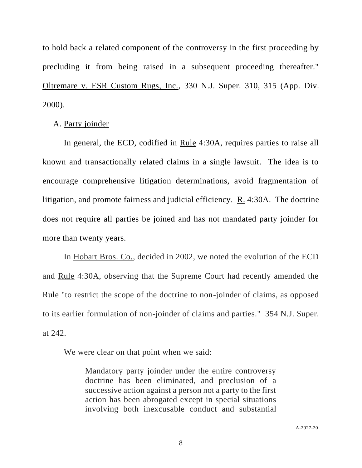to hold back a related component of the controversy in the first proceeding by precluding it from being raised in a subsequent proceeding thereafter." Oltremare v. ESR Custom Rugs, Inc., 330 N.J. Super. 310, 315 (App. Div. 2000).

# A. Party joinder

In general, the ECD, codified in Rule 4:30A, requires parties to raise all known and transactionally related claims in a single lawsuit. The idea is to encourage comprehensive litigation determinations, avoid fragmentation of litigation, and promote fairness and judicial efficiency. R. 4:30A. The doctrine does not require all parties be joined and has not mandated party joinder for more than twenty years.

In Hobart Bros. Co., decided in 2002, we noted the evolution of the ECD and Rule 4:30A, observing that the Supreme Court had recently amended the Rule "to restrict the scope of the doctrine to non-joinder of claims, as opposed to its earlier formulation of non-joinder of claims and parties." 354 N.J. Super. at 242.

We were clear on that point when we said:

Mandatory party joinder under the entire controversy doctrine has been eliminated, and preclusion of a successive action against a person not a party to the first action has been abrogated except in special situations involving both inexcusable conduct and substantial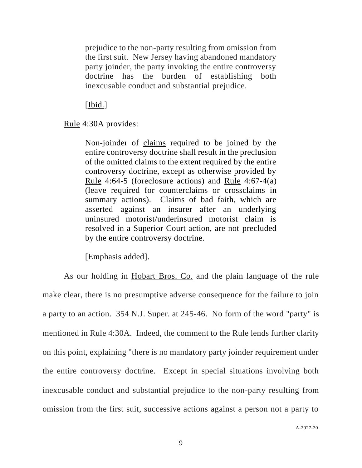prejudice to the non-party resulting from omission from the first suit. New Jersey having abandoned mandatory party joinder, the party invoking the entire controversy doctrine has the burden of establishing both inexcusable conduct and substantial prejudice.

[Ibid.]

Rule 4:30A provides:

Non-joinder of claims required to be joined by the entire controversy doctrine shall result in the preclusion of the omitted claims to the extent required by the entire controversy doctrine, except as otherwise provided by Rule 4:64-5 (foreclosure actions) and Rule 4:67-4(a) (leave required for counterclaims or crossclaims in summary actions). Claims of bad faith, which are asserted against an insurer after an underlying uninsured motorist/underinsured motorist claim is resolved in a Superior Court action, are not precluded by the entire controversy doctrine.

[Emphasis added].

As our holding in Hobart Bros. Co. and the plain language of the rule make clear, there is no presumptive adverse consequence for the failure to join a party to an action. 354 N.J. Super. at 245-46. No form of the word "party" is mentioned in <u>Rule</u> 4:30A. Indeed, the comment to the <u>Rule</u> lends further clarity on this point, explaining "there is no mandatory party joinder requirement under the entire controversy doctrine. Except in special situations involving both inexcusable conduct and substantial prejudice to the non-party resulting from omission from the first suit, successive actions against a person not a party to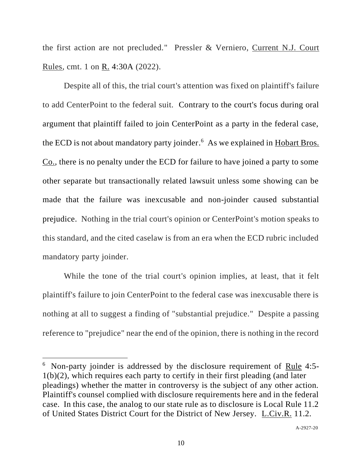the first action are not precluded." Pressler & Verniero, Current N.J. Court Rules*,* cmt. 1 on [R.](https://advance.lexis.com/search/?pdmfid=1000516&crid=1a8d7eff-88b1-4056-9dd3-beb8c6ce1919&pdsearchterms=354+nj+super+229&pdstartin=hlct%3A1%3A1&pdcaseshlctselectedbyuser=false&pdtypeofsearch=searchboxclick&pdsearchtype=SearchBox&pdqttype=and&pdquerytemplateid=&ecomp=4gsnk&prid=fddec8e9-4c61-42ab-9b35-225b2f0b4709) 4:30A (2022).

Despite all of this, the trial court's attention was fixed on plaintiff's failure to add CenterPoint to the federal suit. Contrary to the court's focus during oral argument that plaintiff failed to join CenterPoint as a party in the federal case, the ECD is not about mandatory party joinder.<sup>6</sup> As we explained in Hobart Bros. Co., there is no penalty under the ECD for failure to have joined a party to some other separate but transactionally related lawsuit unless some showing can be made that the failure was inexcusable and non-joinder caused substantial prejudice. Nothing in the trial court's opinion or CenterPoint's motion speaks to this standard, and the cited caselaw is from an era when the ECD rubric included mandatory party joinder.

While the tone of the trial court's opinion implies, at least, that it felt plaintiff's failure to join CenterPoint to the federal case was inexcusable there is nothing at all to suggest a finding of "substantial prejudice." Despite a passing reference to "prejudice" near the end of the opinion, there is nothing in the record

<sup>6</sup> Non-party joinder is addressed by the disclosure requirement of Rule 4:5- 1(b)(2), which requires each party to certify in their first pleading (and later pleadings) whether the matter in controversy is the subject of any other action. Plaintiff's counsel complied with disclosure requirements here and in the federal case. In this case, the analog to our state rule as to disclosure is Local Rule 11.2 of United States District Court for the District of New Jersey. L.Civ.R. 11.2.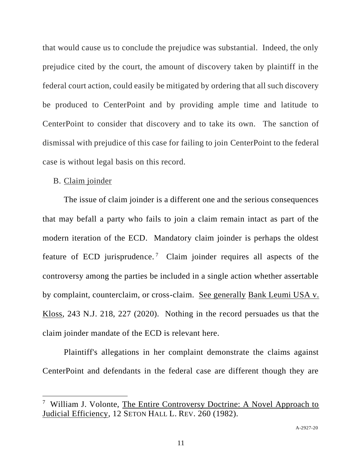that would cause us to conclude the prejudice was substantial. Indeed, the only prejudice cited by the court, the amount of discovery taken by plaintiff in the federal court action, could easily be mitigated by ordering that all such discovery be produced to CenterPoint and by providing ample time and latitude to CenterPoint to consider that discovery and to take its own. The sanction of dismissal with prejudice of this case for failing to join CenterPoint to the federal case is without legal basis on this record.

## B. Claim joinder

The issue of claim joinder is a different one and the serious consequences that may befall a party who fails to join a claim remain intact as part of the modern iteration of the ECD. Mandatory claim joinder is perhaps the oldest feature of ECD jurisprudence.<sup>7</sup> Claim joinder requires all aspects of the controversy among the parties be included in a single action whether assertable by complaint, counterclaim, or cross-claim. See generally Bank Leumi USA v. Kloss, 243 N.J. 218, 227 (2020). Nothing in the record persuades us that the claim joinder mandate of the ECD is relevant here.

Plaintiff's allegations in her complaint demonstrate the claims against CenterPoint and defendants in the federal case are different though they are

<sup>&</sup>lt;sup>7</sup> William J. Volonte, The Entire Controversy Doctrine: A Novel Approach to Judicial Efficiency, 12 SETON HALL L. REV. 260 (1982).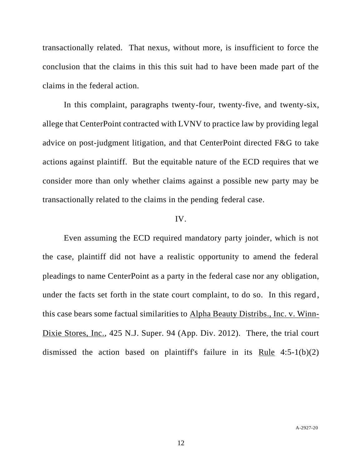transactionally related. That nexus, without more, is insufficient to force the conclusion that the claims in this this suit had to have been made part of the claims in the federal action.

In this complaint, paragraphs twenty-four, twenty-five, and twenty-six, allege that CenterPoint contracted with LVNV to practice law by providing legal advice on post-judgment litigation, and that CenterPoint directed F&G to take actions against plaintiff. But the equitable nature of the ECD requires that we consider more than only whether claims against a possible new party may be transactionally related to the claims in the pending federal case.

# IV.

Even assuming the ECD required mandatory party joinder, which is not the case, plaintiff did not have a realistic opportunity to amend the federal pleadings to name CenterPoint as a party in the federal case nor any obligation, under the facts set forth in the state court complaint, to do so. In this regard, this case bears some factual similarities to Alpha Beauty Distribs., Inc. v. Winn-Dixie Stores, Inc., 425 N.J. Super. 94 (App. Div. 2012). There, the trial court dismissed the action based on plaintiff's failure in its Rule 4:5-1(b)(2)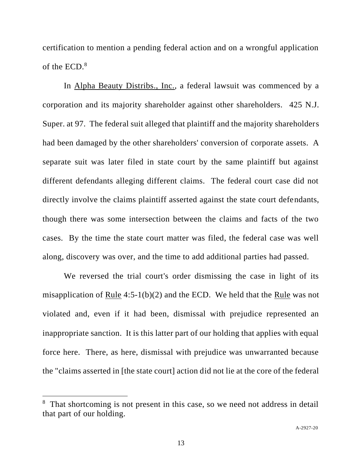certification to mention a pending federal action and on a wrongful application of the ECD.<sup>8</sup>

In Alpha Beauty Distribs., Inc., a federal lawsuit was commenced by a corporation and its majority shareholder against other shareholders. 425 N.J. Super. at 97. The federal suit alleged that plaintiff and the majority shareholders had been damaged by the other shareholders' conversion of corporate assets. A separate suit was later filed in state court by the same plaintiff but against different defendants alleging different claims. The federal court case did not directly involve the claims plaintiff asserted against the state court defendants, though there was some intersection between the claims and facts of the two cases. By the time the state court matter was filed, the federal case was well along, discovery was over, and the time to add additional parties had passed.

We reversed the trial court's order dismissing the case in light of its misapplication of <u>Rule</u> 4:5-1(b)(2) and the ECD. We held that the <u>Rule</u> was not violated and, even if it had been, dismissal with prejudice represented an inappropriate sanction. It is this latter part of our holding that applies with equal force here. There, as here, dismissal with prejudice was unwarranted because the "claims asserted in [the state court] action did not lie at the core of the federal

<sup>&</sup>lt;sup>8</sup> That shortcoming is not present in this case, so we need not address in detail that part of our holding.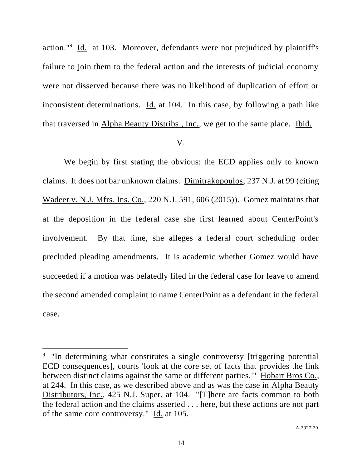action."<sup>9</sup> Id. at 103. Moreover, defendants were not prejudiced by plaintiff's failure to join them to the federal action and the interests of judicial economy were not disserved because there was no likelihood of duplication of effort or inconsistent determinations. Id. at 104. In this case, by following a path like that traversed in Alpha Beauty Distribs., Inc., we get to the same place. Ibid.

### V.

We begin by first stating the obvious: the ECD applies only to known claims. It does not bar unknown claims. Dimitrakopoulos, 237 N.J. at 99 (citing Wadeer v. N.J. Mfrs. Ins. Co., 220 N.J. 591, 606 (2015)). Gomez maintains that at the deposition in the federal case she first learned about CenterPoint's involvement. By that time, she alleges a federal court scheduling order precluded pleading amendments. It is academic whether Gomez would have succeeded if a motion was belatedly filed in the federal case for leave to amend the second amended complaint to name CenterPoint as a defendant in the federal case.

<sup>&</sup>lt;sup>9</sup> "In determining what constitutes a single controversy [triggering potential ECD consequences], courts 'look at the core set of facts that provides the link between distinct claims against the same or different parties.'" Hobart Bros Co., at 244. In this case, as we described above and as was the case in Alpha Beauty Distributors, Inc., 425 N.J. Super. at 104. "[T]here are facts common to both the federal action and the claims asserted . . . here, but these actions are not part of the same core controversy." Id. at 105.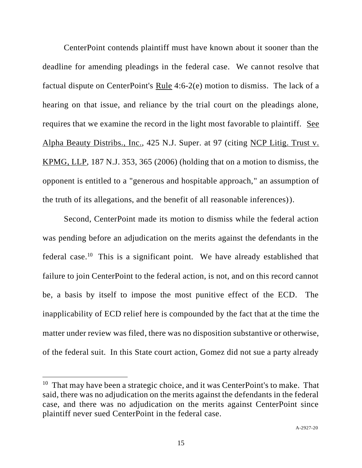CenterPoint contends plaintiff must have known about it sooner than the deadline for amending pleadings in the federal case. We cannot resolve that factual dispute on CenterPoint's Rule 4:6-2(e) motion to dismiss. The lack of a hearing on that issue, and reliance by the trial court on the pleadings alone, requires that we examine the record in the light most favorable to plaintiff. See Alpha Beauty Distribs., Inc., 425 N.J. Super. at 97 (citing NCP Litig. Trust v. KPMG, LLP, 187 N.J. 353, 365 (2006) (holding that on a motion to dismiss, the opponent is entitled to a "generous and hospitable approach," an assumption of the truth of its allegations, and the benefit of all reasonable inferences)).

Second, CenterPoint made its motion to dismiss while the federal action was pending before an adjudication on the merits against the defendants in the federal case.<sup>10</sup> This is a significant point. We have already established that failure to join CenterPoint to the federal action, is not, and on this record cannot be, a basis by itself to impose the most punitive effect of the ECD. The inapplicability of ECD relief here is compounded by the fact that at the time the matter under review was filed, there was no disposition substantive or otherwise, of the federal suit. In this State court action, Gomez did not sue a party already

<sup>&</sup>lt;sup>10</sup> That may have been a strategic choice, and it was CenterPoint's to make. That said, there was no adjudication on the merits against the defendants in the federal case, and there was no adjudication on the merits against CenterPoint since plaintiff never sued CenterPoint in the federal case.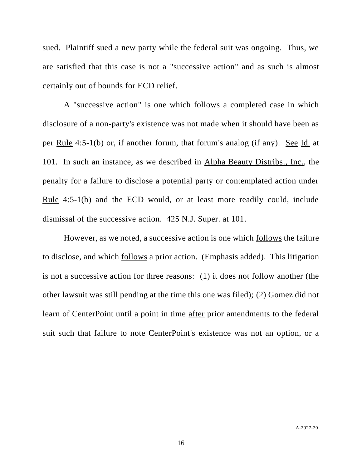sued. Plaintiff sued a new party while the federal suit was ongoing. Thus, we are satisfied that this case is not a "successive action" and as such is almost certainly out of bounds for ECD relief.

A "successive action" is one which follows a completed case in which disclosure of a non-party's existence was not made when it should have been as per Rule 4:5-1(b) or, if another forum, that forum's analog (if any). See Id. at 101. In such an instance, as we described in Alpha Beauty Distribs., Inc., the penalty for a failure to disclose a potential party or contemplated action under Rule 4:5-1(b) and the ECD would, or at least more readily could, include dismissal of the successive action. 425 N.J. Super. at 101.

However, as we noted, a successive action is one which follows the failure to disclose, and which follows a prior action. (Emphasis added). This litigation is not a successive action for three reasons: (1) it does not follow another (the other lawsuit was still pending at the time this one was filed); (2) Gomez did not learn of CenterPoint until a point in time after prior amendments to the federal suit such that failure to note CenterPoint's existence was not an option, or a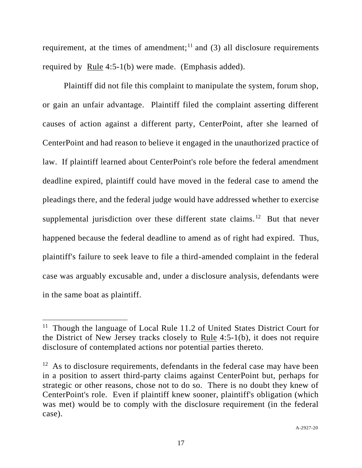requirement, at the times of amendment;<sup>11</sup> and (3) all disclosure requirements required by Rule 4:5-1(b) were made. (Emphasis added).

Plaintiff did not file this complaint to manipulate the system, forum shop, or gain an unfair advantage. Plaintiff filed the complaint asserting different causes of action against a different party, CenterPoint, after she learned of CenterPoint and had reason to believe it engaged in the unauthorized practice of law. If plaintiff learned about CenterPoint's role before the federal amendment deadline expired, plaintiff could have moved in the federal case to amend the pleadings there, and the federal judge would have addressed whether to exercise supplemental jurisdiction over these different state claims.<sup>12</sup> But that never happened because the federal deadline to amend as of right had expired. Thus, plaintiff's failure to seek leave to file a third-amended complaint in the federal case was arguably excusable and, under a disclosure analysis, defendants were in the same boat as plaintiff.

<sup>&</sup>lt;sup>11</sup> Though the language of Local Rule 11.2 of United States District Court for the District of New Jersey tracks closely to Rule 4:5-1(b), it does not require disclosure of contemplated actions nor potential parties thereto.

 $12$  As to disclosure requirements, defendants in the federal case may have been in a position to assert third-party claims against CenterPoint but, perhaps for strategic or other reasons, chose not to do so. There is no doubt they knew of CenterPoint's role. Even if plaintiff knew sooner, plaintiff's obligation (which was met) would be to comply with the disclosure requirement (in the federal case).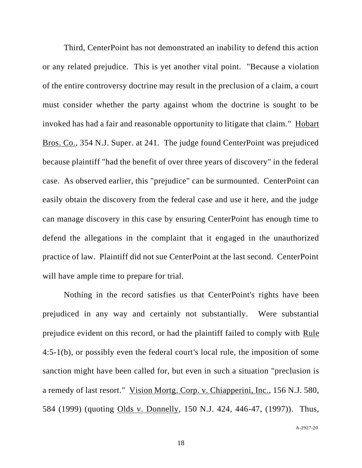Third, CenterPoint has not demonstrated an inability to defend this action or any related prejudice. This is yet another vital point. "Because a violation of the entire controversy doctrine may result in the preclusion of a claim, a court must consider whether the party against whom the doctrine is sought to be invoked has had a fair and reasonable opportunity to litigate that claim." Hobart Bros. Co., 354 N.J. Super. at 241. The judge found CenterPoint was prejudiced because plaintiff "had the benefit of over three years of discovery" in the federal case. As observed earlier, this "prejudice" can be surmounted. CenterPoint can easily obtain the discovery from the federal case and use it here, and the judge can manage discovery in this case by ensuring CenterPoint has enough time to defend the allegations in the complaint that it engaged in the unauthorized practice of law. Plaintiff did not sue CenterPoint at the last second. CenterPoint will have ample time to prepare for trial.

Nothing in the record satisfies us that CenterPoint's rights have been prejudiced in any way and certainly not substantially. Were substantial prejudice evident on this record, or had the plaintiff failed to comply with Rule 4:5-1(b), or possibly even the federal court's local rule, the imposition of some sanction might have been called for, but even in such a situation "preclusion is a remedy of last resort." Vision Mortg. Corp. v. Chiapperini, Inc., 156 N.J. 580, 584 (1999) (quoting Olds v. Donnelly, 150 N.J. 424, 446-47, (1997)). Thus,

A-2927-20